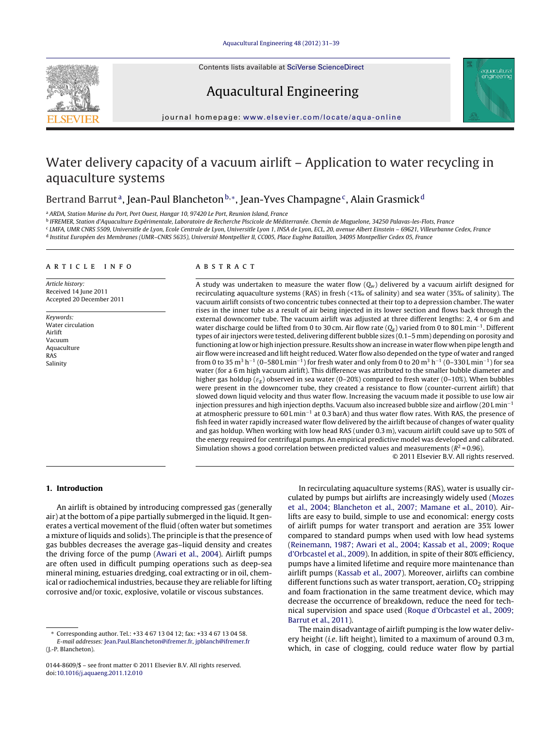Contents lists available at SciVerse [ScienceDirect](http://www.sciencedirect.com/science/journal/01448609)





Aquacultural Engineering

# journal homepage: [www.elsevier.com/locate/aqua-online](http://www.elsevier.com/locate/aqua-online)

# Water delivery capacity of a vacuum airlift – Application to water recycling in aquaculture systems

# Bertrand Barrut<sup>a</sup>, Jean-Paul Blancheton<sup>b,∗</sup>, Jean-Yves Champagne<sup>c</sup>, Alain Grasmick<sup>d</sup>

<sup>a</sup> ARDA, Station Marine du Port, Port Ouest, Hangar 10, 97420 Le Port, Reunion Island, France

<sup>b</sup> IFREMER, Station d'Aquaculture Expérimentale, Laboratoire de Recherche Piscicole de Méditerranée. Chemin de Maguelone, 34250 Palavas-les-Flots, France

c LMFA, UMR CNRS 5509, Universitie de Lyon, Ecole Centrale de Lyon, Universitie Lyon 1, INSA de Lyon, ECL, 20, avenue Albert Einstein – 69621, Villeurbanne Cedex, France

<sup>d</sup> Institut Européen des Membranes (UMR–CNRS 5635), Université Montpellier II, CC005, Place Eugène Bataillon, 34095 Montpellier Cedex 05, France

#### a r t i c l e i n f o

Article history: Received 14 June 2011 Accepted 20 December 2011

Keywords: Water circulation Airlift Vacuum Aquaculture RAS Salinity

# A B S T R A C T

A study was undertaken to measure the water flow  $(Q_w)$  delivered by a vacuum airlift designed for recirculating aquaculture systems (RAS) in fresh (<1‰ of salinity) and sea water (35‰ of salinity). The vacuum airlift consists of two concentric tubes connected at their top to a depression chamber. The water rises in the inner tube as a result of air being injected in its lower section and flows back through the external downcomer tube. The vacuum airlift was adjusted at three different lengths: 2, 4 or 6 m and water discharge could be lifted from 0 to 30 cm. Air flow rate  $(Q_g)$  varied from 0 to 80 L min<sup>-1</sup>. Different types of air injectors were tested, delivering different bubble sizes (0.1–5 mm) depending on porosity and functioning atlow or high injection pressure. Results show an increase in waterflow when pipe length and air flow were increased and lift height reduced.Water flow also depended on the type of water and ranged from 0 to 35 m<sup>3</sup> h<sup>-1</sup> (0–580 L min<sup>-1</sup>) for fresh water and only from 0 to 20 m<sup>3</sup> h<sup>-1</sup> (0–330 L min<sup>-1</sup>) for sea water (for a 6 m high vacuum airlift). This difference was attributed to the smaller bubble diameter and higher gas holdup ( $\varepsilon_g$ ) observed in sea water (0–20%) compared to fresh water (0–10%). When bubbles were present in the downcomer tube, they created a resistance to flow (counter-current airlift) that slowed down liquid velocity and thus water flow. Increasing the vacuum made it possible to use low air injection pressures and high injection depths. Vacuum also increased bubble size and airflow (20 L min−<sup>1</sup> at atmospheric pressure to 60 L min−<sup>1</sup> at 0.3 barA) and thus water flow rates. With RAS, the presence of fish feed in water rapidly increased water flow delivered by the airlift because of changes of water quality and gas holdup. When working with low head RAS (under 0.3 m), vacuum airlift could save up to 50% of the energy required for centrifugal pumps. An empirical predictive model was developed and calibrated. Simulation shows a good correlation between predicted values and measurements ( $R^2$  = 0.96).

© 2011 Elsevier B.V. All rights reserved.

# **1. Introduction**

An airlift is obtained by introducing compressed gas (generally air) atthe bottom of a pipe partially submerged in the liquid. It generates a vertical movement of the fluid (often water but sometimes a mixture of liquids and solids). The principle is that the presence of gas bubbles decreases the average gas–liquid density and creates the driving force of the pump ([Awari](#page-8-0) et [al.,](#page-8-0) [2004\).](#page-8-0) Airlift pumps are often used in difficult pumping operations such as deep-sea mineral mining, estuaries dredging, coal extracting or in oil, chemical or radiochemical industries, because they are reliable for lifting corrosive and/or toxic, explosive, volatile or viscous substances.

In recirculating aquaculture systems (RAS), water is usually circulated by pumps but airlifts are increasingly widely used [\(Mozes](#page-8-0) et [al.,](#page-8-0) [2004;](#page-8-0) [Blancheton](#page-8-0) et [al.,](#page-8-0) [2007;](#page-8-0) [Mamane](#page-8-0) et [al.,](#page-8-0) [2010\).](#page-8-0) Airlifts are easy to build, simple to use and economical: energy costs of airlift pumps for water transport and aeration are 35% lower compared to standard pumps when used with low head systems [\(Reinemann,](#page-8-0) [1987;](#page-8-0) [Awari](#page-8-0) et [al.,](#page-8-0) [2004;](#page-8-0) [Kassab](#page-8-0) et [al.,](#page-8-0) [2009;](#page-8-0) [Roque](#page-8-0) [d'Orbcastel](#page-8-0) et [al.,](#page-8-0) [2009\).](#page-8-0) In addition, in spite of their 80% efficiency, pumps have a limited lifetime and require more maintenance than airlift pumps ([Kassab](#page-8-0) et [al.,](#page-8-0) [2007\).](#page-8-0) Moreover, airlifts can combine different functions such as water transport, aeration,  $CO<sub>2</sub>$  stripping and foam fractionation in the same treatment device, which may decrease the occurrence of breakdown, reduce the need for technical supervision and space used [\(Roque](#page-8-0) [d'Orbcastel](#page-8-0) et [al.,](#page-8-0) [2009;](#page-8-0) [Barrut](#page-8-0) et [al.,](#page-8-0) [2011\).](#page-8-0)

The main disadvantage of airlift pumping is the low water delivery height (i.e. lift height), limited to a maximum of around 0.3 m, which, in case of clogging, could reduce water flow by partial

<sup>∗</sup> Corresponding author. Tel.: +33 4 67 13 04 12; fax: +33 4 67 13 04 58. E-mail addresses: [Jean.Paul.Blancheton@ifremer.fr,](mailto:Jean.Paul.Blancheton@ifremer.fr) [jpblanch@ifremer.fr](mailto:jpblanch@ifremer.fr) (J.-P. Blancheton).

<sup>0144-8609/\$</sup> – see front matter © 2011 Elsevier B.V. All rights reserved. doi:[10.1016/j.aquaeng.2011.12.010](dx.doi.org/10.1016/j.aquaeng.2011.12.010)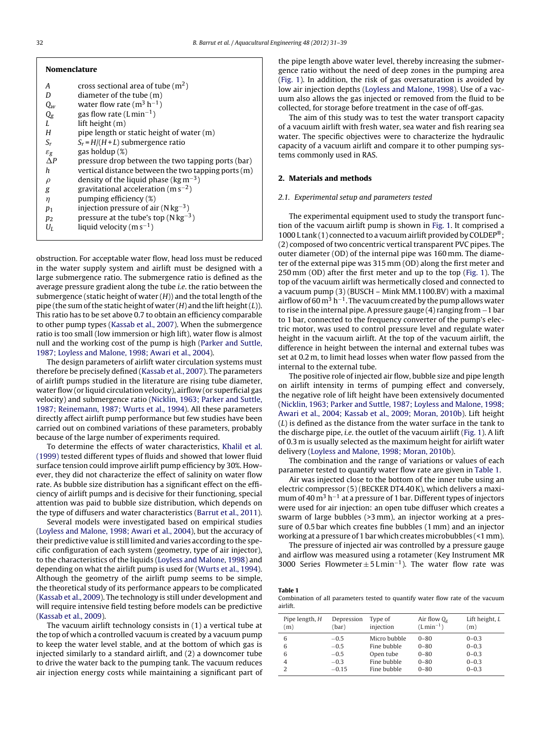<span id="page-1-0"></span>

| <b>Nomenclature</b>   |                                                       |  |  |  |  |  |
|-----------------------|-------------------------------------------------------|--|--|--|--|--|
| А                     | cross sectional area of tube $(m2)$                   |  |  |  |  |  |
| D                     | diameter of the tube $(m)$                            |  |  |  |  |  |
| Qw                    | water flow rate ( $m^3$ h <sup>-1</sup> )             |  |  |  |  |  |
| $Q_{g}$               | gas flow rate (Lmin <sup>-1</sup> )                   |  |  |  |  |  |
| L                     | lift height $(m)$                                     |  |  |  |  |  |
| Н                     | pipe length or static height of water (m)             |  |  |  |  |  |
| $S_r$                 | $S_r = H/(H + L)$ submergence ratio                   |  |  |  |  |  |
| $\varepsilon_{\rm g}$ | gas holdup $(\%)$                                     |  |  |  |  |  |
| $\Delta P$            | pressure drop between the two tapping ports (bar)     |  |  |  |  |  |
| h                     | vertical distance between the two tapping ports $(m)$ |  |  |  |  |  |
| $\rho$                | density of the liquid phase ( $\text{kg m}^{-3}$ )    |  |  |  |  |  |
| g                     | gravitational acceleration ( $ms^{-2}$ )              |  |  |  |  |  |
| η                     | pumping efficiency (%)                                |  |  |  |  |  |
| $p_1$                 | injection pressure of air ( $N kg^{-3}$ )             |  |  |  |  |  |
| $p_2$                 | pressure at the tube's top ( $N \text{ kg}^{-3}$ )    |  |  |  |  |  |
| $U_I$                 | liquid velocity ( $m s^{-1}$ )                        |  |  |  |  |  |
|                       |                                                       |  |  |  |  |  |

obstruction. For acceptable water flow, head loss must be reduced in the water supply system and airlift must be designed with a large submergence ratio. The submergence ratio is defined as the average pressure gradient along the tube i.e. the ratio between the submergence (static height of water  $(H)$ ) and the total length of the pipe (the sum of the static height of water  $(H)$  and the lift height  $(L)$ ). This ratio has to be set above 0.7 to obtain an efficiency comparable to other pump types [\(Kassab](#page-8-0) et [al.,](#page-8-0) [2007\).](#page-8-0) When the submergence ratio is too small (low immersion or high lift), water flow is almost null and the working cost of the pump is high [\(Parker](#page-8-0) [and](#page-8-0) [Suttle,](#page-8-0) [1987;](#page-8-0) [Loyless](#page-8-0) [and](#page-8-0) [Malone,](#page-8-0) [1998;](#page-8-0) [Awari](#page-8-0) et [al.,](#page-8-0) [2004\).](#page-8-0)

The design parameters of airlift water circulation systems must therefore be precisely defined [\(Kassab](#page-8-0) et [al.,](#page-8-0) [2007\).](#page-8-0) The parameters of airlift pumps studied in the literature are rising tube diameter, water flow (or liquid circulation velocity), airflow (or superficial gas velocity) and submergence ratio [\(Nicklin,](#page-8-0) [1963;](#page-8-0) [Parker](#page-8-0) [and](#page-8-0) [Suttle,](#page-8-0) [1987;](#page-8-0) [Reinemann,](#page-8-0) [1987;](#page-8-0) [Wurts](#page-8-0) et [al.,](#page-8-0) [1994\).](#page-8-0) All these parameters directly affect airlift pump performance but few studies have been carried out on combined variations of these parameters, probably because of the large number of experiments required.

To determine the effects of water characteristics, [Khalil](#page-8-0) et [al.](#page-8-0) [\(1999\)](#page-8-0) tested different types of fluids and showed that lower fluid surface tension could improve airlift pump efficiency by 30%. However, they did not characterize the effect of salinity on water flow rate. As bubble size distribution has a significant effect on the efficiency of airlift pumps and is decisive for their functioning, special attention was paid to bubble size distribution, which depends on the type of diffusers and water characteristics ([Barrut](#page-8-0) et [al.,](#page-8-0) [2011\).](#page-8-0)

Several models were investigated based on empirical studies ([Loyless](#page-8-0) [and](#page-8-0) [Malone,](#page-8-0) [1998;](#page-8-0) [Awari](#page-8-0) et [al.,](#page-8-0) [2004\),](#page-8-0) but the accuracy of their predictive value is still limited and varies according to the specific configuration of each system (geometry, type of air injector), to the characteristics of the liquids [\(Loyless](#page-8-0) [and](#page-8-0) [Malone,](#page-8-0) [1998\)](#page-8-0) and depending on what the airlift pump is used for ([Wurts](#page-8-0) et [al.,](#page-8-0) [1994\).](#page-8-0) Although the geometry of the airlift pump seems to be simple, the theoretical study of its performance appears to be complicated ([Kassab](#page-8-0) et [al.,](#page-8-0) [2009\).](#page-8-0) The technology is still under development and will require intensive field testing before models can be predictive ([Kassab](#page-8-0) et [al.,](#page-8-0) [2009\).](#page-8-0)

The vacuum airlift technology consists in (1) a vertical tube at the top of which a controlled vacuum is created by a vacuum pump to keep the water level stable, and at the bottom of which gas is injected similarly to a standard airlift, and (2) a downcomer tube to drive the water back to the pumping tank. The vacuum reduces air injection energy costs while maintaining a significant part of the pipe length above water level, thereby increasing the submergence ratio without the need of deep zones in the pumping area [\(Fig.](#page-2-0) 1). In addition, the risk of gas oversaturation is avoided by low air injection depths [\(Loyless](#page-8-0) [and](#page-8-0) [Malone,](#page-8-0) [1998\).](#page-8-0) Use of a vacuum also allows the gas injected or removed from the fluid to be collected, for storage before treatment in the case of off-gas.

The aim of this study was to test the water transport capacity of a vacuum airlift with fresh water, sea water and fish rearing sea water. The specific objectives were to characterize the hydraulic capacity of a vacuum airlift and compare it to other pumping systems commonly used in RAS.

# **2. Materials and methods**

#### 2.1. Experimental setup and parameters tested

The experimental equipment used to study the transport function of the vacuum airlift pump is shown in [Fig.](#page-2-0) 1. It comprised a 1000 L tank (1) connected to a vacuum airlift provided by COLDEP®; (2) composed of two concentric vertical transparent PVC pipes. The outer diameter (OD) of the internal pipe was 160 mm. The diameter of the external pipe was 315 mm (OD) along the first meter and 250 mm (OD) after the first meter and up to the top [\(Fig.](#page-2-0) 1). The top of the vacuum airlift was hermetically closed and connected to a vacuum pump (3) (BUSCH – Mink MM.1100.BV) with a maximal airflow of 60 m<sup>3</sup> h<sup>-1</sup>. The vacuum created by the pump allows water to rise in the internal pipe. A pressure gauge (4) ranging from −1 bar to 1 bar, connected to the frequency converter of the pump's electric motor, was used to control pressure level and regulate water height in the vacuum airlift. At the top of the vacuum airlift, the difference in height between the internal and external tubes was set at 0.2 m, to limit head losses when water flow passed from the internal to the external tube.

The positive role of injected air flow, bubble size and pipe length on airlift intensity in terms of pumping effect and conversely, the negative role of lift height have been extensively documented [\(Nicklin,](#page-8-0) [1963;](#page-8-0) [Parker](#page-8-0) [and](#page-8-0) [Suttle,](#page-8-0) [1987;](#page-8-0) [Loyless](#page-8-0) [and](#page-8-0) [Malone,](#page-8-0) [1998;](#page-8-0) [Awari](#page-8-0) et [al.,](#page-8-0) [2004;](#page-8-0) [Kassab](#page-8-0) et [al.,](#page-8-0) [2009;](#page-8-0) [Moran,](#page-8-0) [2010b\).](#page-8-0) Lift height (L) is defined as the distance from the water surface in the tank to the discharge pipe, i.e. the outlet of the vacuum airlift [\(Fig.](#page-2-0) 1). A lift of 0.3 m is usually selected as the maximum height for airlift water delivery ([Loyless](#page-8-0) [and](#page-8-0) [Malone,](#page-8-0) [1998;](#page-8-0) [Moran,](#page-8-0) [2010b\).](#page-8-0)

The combination and the range of variations or values of each parameter tested to quantify water flow rate are given in Table 1.

Air was injected close to the bottom of the inner tube using an electric compressor (5) (BECKER DT4.40K), which delivers a maximum of 40 m<sup>3</sup> h<sup>-1</sup> at a pressure of 1 bar. Different types of injectors were used for air injection: an open tube diffuser which creates a swarm of large bubbles (>3 mm), an injector working at a pressure of 0.5 bar which creates fine bubbles (1 mm) and an injector working at a pressure of 1 bar which creates microbubbles (<1 mm).

The pressure of injected air was controlled by a pressure gauge and airflow was measured using a rotameter (Key Instrument MR 3000 Series Flowmeter  $\pm$  5 Lmin<sup>-1</sup>). The water flow rate was

#### **Table 1**

Combination of all parameters tested to quantify water flow rate of the vacuum airlift.

| Pipe length, H<br>(m) | Depression<br>(bar) | Type of<br>injection | Air flow $Q_{\sigma}$<br>$(Lmin^{-1})$ | Lift height, $L$<br>(m) |
|-----------------------|---------------------|----------------------|----------------------------------------|-------------------------|
| 6                     | $-0.5$              | Micro bubble         | $0 - 80$                               | $0 - 0.3$               |
| 6                     | $-0.5$              | Fine bubble          | $0 - 80$                               | $0 - 0.3$               |
| 6                     | $-0.5$              | Open tube            | $0 - 80$                               | $0 - 0.3$               |
| $\overline{4}$        | $-0.3$              | Fine bubble          | $0 - 80$                               | $0 - 0.3$               |
|                       | $-0.15$             | Fine bubble          | $0 - 80$                               | $0 - 0.3$               |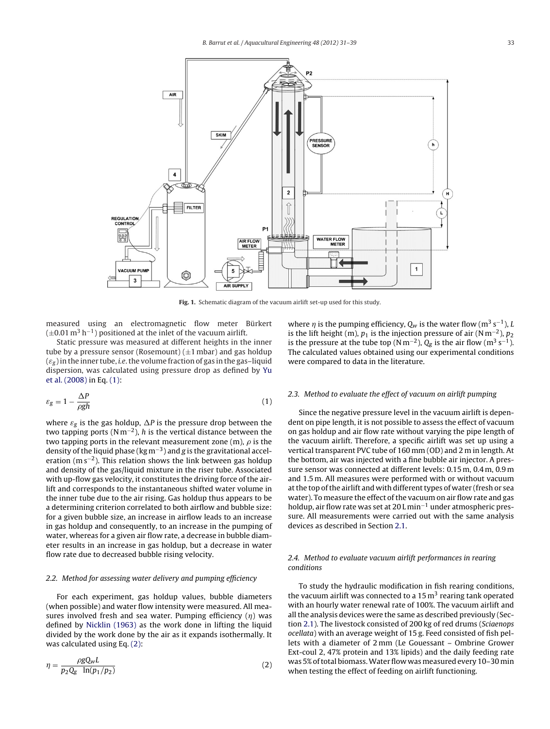<span id="page-2-0"></span>

**Fig. 1.** Schematic diagram of the vacuum airlift set-up used for this study.

measured using an electromagnetic flow meter Bürkert  $(\pm 0.01 \,\mathrm{m}^3 \,\mathrm{h}^{-1})$  positioned at the inlet of the vacuum airlift.

Static pressure was measured at different heights in the inner tube by a pressure sensor (Rosemount)  $(\pm 1 \text{ mbar})$  and gas holdup  $(\varepsilon_g)$  in the inner tube, *i.e.* the volume fraction of gas in the gas–liquid dispersion, was calculated using pressure drop as defined by [Yu](#page-8-0) et [al.](#page-8-0) [\(2008\)](#page-8-0) in Eq. (1):

$$
\varepsilon_g = 1 - \frac{\Delta P}{\rho g h} \tag{1}
$$

where  $\varepsilon_g$  is the gas holdup,  $\Delta P$  is the pressure drop between the two tapping ports ( $Nm^{-2}$ ), h is the vertical distance between the two tapping ports in the relevant measurement zone (m),  $\rho$  is the density of the liquid phase (kg m−3) and g is the gravitational acceleration (m s−2). This relation shows the link between gas holdup and density of the gas/liquid mixture in the riser tube. Associated with up-flow gas velocity, it constitutes the driving force of the airlift and corresponds to the instantaneous shifted water volume in the inner tube due to the air rising. Gas holdup thus appears to be a determining criterion correlated to both airflow and bubble size: for a given bubble size, an increase in airflow leads to an increase in gas holdup and consequently, to an increase in the pumping of water, whereas for a given air flow rate, a decrease in bubble diameter results in an increase in gas holdup, but a decrease in water flow rate due to decreased bubble rising velocity.

#### 2.2. Method for assessing water delivery and pumping efficiency

For each experiment, gas holdup values, bubble diameters (when possible) and water flow intensity were measured. All measures involved fresh and sea water. Pumping efficiency  $(\eta)$  was defined by [Nicklin](#page-8-0) [\(1963\)](#page-8-0) as the work done in lifting the liquid divided by the work done by the air as it expands isothermally. It was calculated using Eq. (2):

$$
\eta = \frac{\rho g Q_w L}{p_2 Q_g \ln(p_1/p_2)}\tag{2}
$$

where  $\eta$  is the pumping efficiency,  $Q_w$  is the water flow (m<sup>3</sup> s<sup>-1</sup>), L is the lift height (m),  $p_1$  is the injection pressure of air (N m<sup>-2</sup>),  $p_2$ is the pressure at the tube top (N m<sup>-2</sup>),  $Q_g$  is the air flow (m<sup>3</sup> s<sup>-1</sup>). The calculated values obtained using our experimental conditions were compared to data in the literature.

#### 2.3. Method to evaluate the effect of vacuum on airlift pumping

Since the negative pressure level in the vacuum airlift is dependent on pipe length, it is not possible to assess the effect of vacuum on gas holdup and air flow rate without varying the pipe length of the vacuum airlift. Therefore, a specific airlift was set up using a vertical transparent PVC tube of 160 mm (OD) and 2 m in length. At the bottom, air was injected with a fine bubble air injector. A pressure sensor was connected at different levels: 0.15 m, 0.4 m, 0.9 m and 1.5 m. All measures were performed with or without vacuum at the top of the airlift and with different types of water (fresh or sea water). To measure the effect of the vacuum on air flow rate and gas holdup, air flow rate was set at 20 L min−<sup>1</sup> under atmospheric pressure. All measurements were carried out with the same analysis devices as described in Section [2.1.](#page-1-0)

# 2.4. Method to evaluate vacuum airlift performances in rearing conditions

To study the hydraulic modification in fish rearing conditions, the vacuum airlift was connected to a  $15 \,\mathrm{m}^3$  rearing tank operated with an hourly water renewal rate of 100%. The vacuum airlift and all the analysis devices were the same as described previously (Section [2.1\).](#page-1-0) The livestock consisted of 200 kg of red drums (Sciaenops ocellata) with an average weight of 15 g. Feed consisted of fish pellets with a diameter of 2 mm (Le Gouessant – Ombrine Grower Ext-coul 2, 47% protein and 13% lipids) and the daily feeding rate was 5%oftotal biomass.Water flow was measured every 10–30 min when testing the effect of feeding on airlift functioning.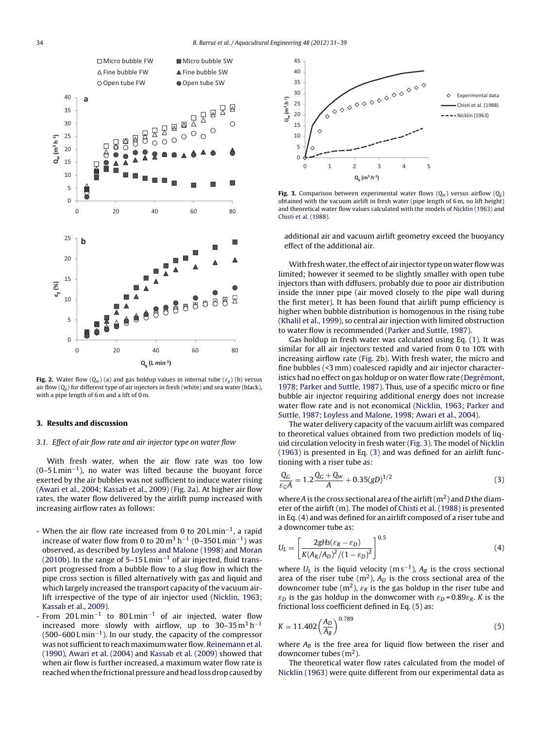<span id="page-3-0"></span>

**Fig. 2.** Water flow  $(Q_w)$  (a) and gas holdup values in internal tube  $(\varepsilon_g)$  (b) versus air flow  $(Q_g)$  for different type of air injectors in fresh (white) and sea water (black), with a pipe length of 6 m and a lift of 0 m.

## **3. Results and discussion**

## 3.1. Effect of air flow rate and air injector type on water flow

With fresh water, when the air flow rate was too low  $(0-5 L \text{min}^{-1})$ , no water was lifted because the buoyant force exerted by the air bubbles was not sufficient to induce water rising ([Awari](#page-8-0) et [al.,](#page-8-0) [2004;](#page-8-0) [Kassab](#page-8-0) et [al.,](#page-8-0) [2009\)](#page-8-0) (Fig. 2a). At higher air flow rates, the water flow delivered by the airlift pump increased with increasing airflow rates as follows:

- When the air flow rate increased from 0 to 20 L min−1, a rapid increase of water flow from 0 to  $20 \text{ m}^3$  h<sup>-1</sup> (0–350 Lmin<sup>-1</sup>) was observed, as described by [Loyless](#page-8-0) [and](#page-8-0) [Malone](#page-8-0) [\(1998\)](#page-8-0) and [Moran](#page-8-0) [\(2010b\).](#page-8-0) In the range of 5–15 L min−<sup>1</sup> of air injected, fluid transport progressed from a bubble flow to a slug flow in which the pipe cross section is filled alternatively with gas and liquid and which largely increased the transport capacity of the vacuum airlift irrespective of the type of air injector used [\(Nicklin,](#page-8-0) [1963;](#page-8-0) [Kassab](#page-8-0) et [al.,](#page-8-0) [2009\).](#page-8-0)
- From  $20$  L min<sup>-1</sup> to  $80$  L min<sup>-1</sup> of air injected, water flow increased more slowly with airflow, up to 30–35 $m<sup>3</sup> h<sup>-1</sup>$ (500–600 L min−1). In our study, the capacity of the compressor was not sufficient to reach maximum water flow. Reinemann et [al.](#page-8-0) [\(1990\),](#page-8-0) [Awari](#page-8-0) et [al.](#page-8-0) [\(2004\)](#page-8-0) and [Kassab](#page-8-0) et [al.](#page-8-0) [\(2009\)](#page-8-0) showed that when air flow is further increased, a maximum water flow rate is reached when the frictional pressure and head loss drop caused by



**Fig. 3.** Comparison between experimental water flows  $(Q_w)$  versus airflow  $(Q_g)$ obtained with the vacuum airlift in fresh water (pipe length of 6 m, no lift height) and theoretical water flow values calculated with the models of [Nicklin](#page-8-0) [\(1963\)](#page-8-0) and [Chisti](#page-8-0) et [al.](#page-8-0) [\(1988\).](#page-8-0)

additional air and vacuum airlift geometry exceed the buoyancy effect of the additional air.

With fresh water, the effect of air injector type on water flow was limited; however it seemed to be slightly smaller with open tube injectors than with diffusers, probably due to poor air distribution inside the inner pipe (air moved closely to the pipe wall during the first meter). It has been found that airlift pump efficiency is higher when bubble distribution is homogenous in the rising tube [\(Khalil](#page-8-0) et [al.,](#page-8-0) [1999\),](#page-8-0) so central air injection with limited obstruction to water flow is recommended [\(Parker](#page-8-0) [and](#page-8-0) [Suttle,](#page-8-0) [1987\).](#page-8-0)

Gas holdup in fresh water was calculated using Eq. [\(1\).](#page-2-0) It was similar for all air injectors tested and varied from 0 to 10% with increasing airflow rate (Fig. 2b). With fresh water, the micro and fine bubbles (<3 mm) coalesced rapidly and air injector characteristics had no effect on gas holdup or on water flow rate ([Degrémont,](#page-8-0) [1978;](#page-8-0) [Parker](#page-8-0) [and](#page-8-0) [Suttle,](#page-8-0) [1987\).](#page-8-0) Thus, use of a specific micro or fine bubble air injector requiring additional energy does not increase water flow rate and is not economical ([Nicklin,](#page-8-0) [1963;](#page-8-0) [Parker](#page-8-0) [and](#page-8-0) [Suttle,](#page-8-0) [1987;](#page-8-0) [Loyless](#page-8-0) [and](#page-8-0) [Malone,](#page-8-0) [1998;](#page-8-0) [Awari](#page-8-0) et [al.,](#page-8-0) [2004\).](#page-8-0)

The water delivery capacity of the vacuum airlift was compared to theoretical values obtained from two prediction models of liquid circulation velocity in fresh water (Fig. 3). The model of [Nicklin](#page-8-0) [\(1963\)](#page-8-0) is presented in Eq. (3) and was defined for an airlift functioning with a riser tube as:

$$
\frac{Q_G}{\varepsilon_G A} = 1.2 \frac{Q_G + Q_W}{A} + 0.35(gD)^{1/2}
$$
 (3)

where A is the cross sectional area of the airlift  $(m^2)$  and D the diameter of the airlift (m). The model of [Chisti](#page-8-0) et [al.](#page-8-0) [\(1988\)](#page-8-0) is presented in Eq. (4) and was defined for an airlift composed of a riser tube and a downcomer tube as:

$$
U_L = \left[\frac{2gHs(\varepsilon_R - \varepsilon_D)}{K(A_R/A_D)^2/(1-\varepsilon_D)^2}\right]^{0.5}
$$
(4)

where  $U_L$  is the liquid velocity (m s<sup>-1</sup>),  $A_R$  is the cross sectional area of the riser tube  $(m^2)$ ,  $A_D$  is the cross sectional area of the downcomer tube (m<sup>2</sup>),  $\varepsilon_R$  is the gas holdup in the riser tube and  $\varepsilon_D$  is the gas holdup in the donwcomer with  $\varepsilon_D = 0.89 \varepsilon_R$ . K is the frictional loss coefficient defined in Eq. (5) as:

$$
K = 11.402 \left(\frac{A_D}{A_B}\right)^{0.789} \tag{5}
$$

where  $A_B$  is the free area for liquid flow between the riser and downcomer tubes  $(m<sup>2</sup>)$ .

The theoretical water flow rates calculated from the model of [Nicklin](#page-8-0) [\(1963\)](#page-8-0) were quite different from our experimental data as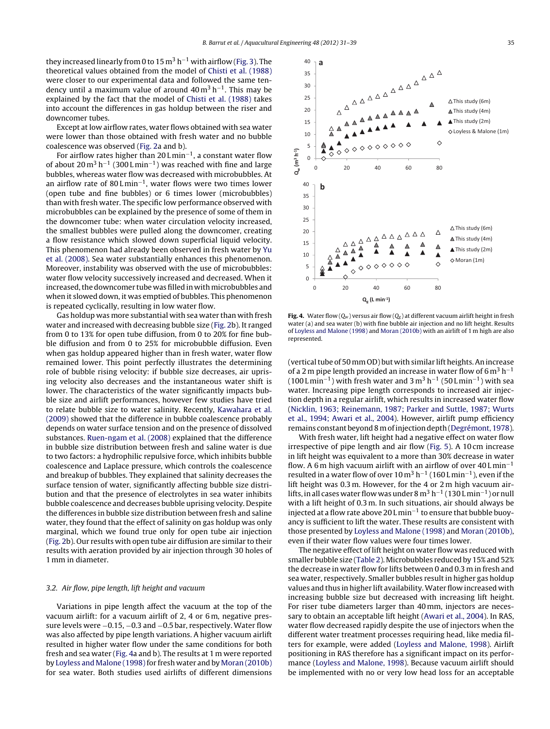<span id="page-4-0"></span>they increased linearly from 0 to 15 m<sup>3</sup> h<sup>-1</sup> with airflow ([Fig.](#page-3-0) 3). The theoretical values obtained from the model of [Chisti](#page-8-0) et [al.](#page-8-0) [\(1988\)](#page-8-0) were closer to our experimental data and followed the same tendency until a maximum value of around  $40 \text{ m}^3 \text{ h}^{-1}$ . This may be explained by the fact that the model of [Chisti](#page-8-0) et [al.](#page-8-0) [\(1988\)](#page-8-0) takes into account the differences in gas holdup between the riser and downcomer tubes.

Except at low airflow rates, water flows obtained with sea water were lower than those obtained with fresh water and no bubble coalescence was observed [\(Fig.](#page-3-0) 2a and b).

For airflow rates higher than 20 L min−1, a constant water flow of about  $20 \text{ m}^3 \text{ h}^{-1}$  (300 L min<sup>-1</sup>) was reached with fine and large bubbles, whereas water flow was decreased with microbubbles. At an airflow rate of 80 L min−1, water flows were two times lower (open tube and fine bubbles) or 6 times lower (microbubbles) than with fresh water. The specific low performance observed with microbubbles can be explained by the presence of some of them in the downcomer tube: when water circulation velocity increased, the smallest bubbles were pulled along the downcomer, creating a flow resistance which slowed down superficial liquid velocity. This phenomenon had already been observed in fresh water by [Yu](#page-8-0) et [al.](#page-8-0) [\(2008\).](#page-8-0) Sea water substantially enhances this phenomenon. Moreover, instability was observed with the use of microbubbles: water flow velocity successively increased and decreased. When it increased, the downcomer tube was filled in with microbubbles and when it slowed down, it was emptied of bubbles. This phenomenon is repeated cyclically, resulting in low water flow.

Gas holdup was more substantial with sea water than with fresh water and increased with decreasing bubble size ([Fig.](#page-3-0) 2b). It ranged from 0 to 13% for open tube diffusion, from 0 to 20% for fine bubble diffusion and from 0 to 25% for microbubble diffusion. Even when gas holdup appeared higher than in fresh water, water flow remained lower. This point perfectly illustrates the determining role of bubble rising velocity: if bubble size decreases, air uprising velocity also decreases and the instantaneous water shift is lower. The characteristics of the water significantly impacts bubble size and airlift performances, however few studies have tried to relate bubble size to water salinity. Recently, [Kawahara](#page-8-0) et [al.](#page-8-0) [\(2009\)](#page-8-0) showed that the difference in bubble coalescence probably depends on water surface tension and on the presence of dissolved substances. [Ruen-ngam](#page-8-0) et [al.](#page-8-0) [\(2008\)](#page-8-0) explained that the difference in bubble size distribution between fresh and saline water is due to two factors: a hydrophilic repulsive force, which inhibits bubble coalescence and Laplace pressure, which controls the coalescence and breakup of bubbles. They explained that salinity decreases the surface tension of water, significantly affecting bubble size distribution and that the presence of electrolytes in sea water inhibits bubble coalescence and decreases bubble uprising velocity. Despite the differences in bubble size distribution between fresh and saline water, they found that the effect of salinity on gas holdup was only marginal, which we found true only for open tube air injection ([Fig.](#page-3-0) 2b). Our results with open tube air diffusion are similar to their results with aeration provided by air injection through 30 holes of 1 mm in diameter.

#### 3.2. Air flow, pipe length, lift height and vacuum

Variations in pipe length affect the vacuum at the top of the vacuum airlift: for a vacuum airlift of 2, 4 or 6 m, negative pressure levels were −0.15, −0.3 and −0.5 bar, respectively. Water flow was also affected by pipe length variations. A higher vacuum airlift resulted in higher water flow under the same conditions for both fresh and sea water (Fig. 4a and b). The results at 1 m were reported by [Loyless](#page-8-0) [and](#page-8-0) [Malone](#page-8-0) (1998) for fresh water and by [Moran](#page-8-0) [\(2010b\)](#page-8-0) for sea water. Both studies used airlifts of different dimensions



**Fig. 4.** Water flow  $(Q_w)$  versus air flow  $(Q_g)$  at different vacuum airlift height in fresh water (a) and sea water (b) with fine bubble air injection and no lift height. Results of [Loyless](#page-8-0) [and](#page-8-0) [Malone](#page-8-0) [\(1998\)](#page-8-0) and [Moran](#page-8-0) [\(2010b\)](#page-8-0) with an airlift of 1 m high are also represented.

(vertical tube of 50 mm OD) but with similar lift heights. An increase of a 2 m pipe length provided an increase in water flow of 6  $\mathrm{m}^{3} \mathrm{h}^{-1}$  $(100 \text{ L min}^{-1})$  with fresh water and 3 m<sup>3</sup> h<sup>-1</sup> (50 Lmin<sup>-1</sup>) with sea water. Increasing pipe length corresponds to increased air injection depth in a regular airlift, which results in increased water flow [\(Nicklin,](#page-8-0) [1963;](#page-8-0) [Reinemann,](#page-8-0) [1987;](#page-8-0) [Parker](#page-8-0) [and](#page-8-0) [Suttle,](#page-8-0) [1987;](#page-8-0) [Wurts](#page-8-0) et [al.,](#page-8-0) [1994;](#page-8-0) [Awari](#page-8-0) et [al.,](#page-8-0) [2004\).](#page-8-0) However, airlift pump efficiency remains constant beyond8 mofinjectiondepth[\(Degrémont,](#page-8-0) [1978\).](#page-8-0)

With fresh water, lift height had a negative effect on water flow irrespective of pipe length and air flow [\(Fig.](#page-5-0) 5). A 10 cm increase in lift height was equivalent to a more than 30% decrease in water flow. A 6 m high vacuum airlift with an airflow of over  $40 \text{ L min}^{-1}$ resulted in a water flow of over  $10 \text{ m}^3$  h<sup>-1</sup> (160 L min<sup>-1</sup>), even if the lift height was 0.3 m. However, for the 4 or 2 m high vacuum airlifts, in all cases water flow was under 8 m<sup>3</sup> h<sup>-1</sup> (130 L min<sup>-1</sup>) or null with a lift height of 0.3 m. In such situations, air should always be injected at a flow rate above 20 L min−<sup>1</sup> to ensure that bubble buoyancy is sufficient to lift the water. These results are consistent with those presented by [Loyless](#page-8-0) [and](#page-8-0) [Malone](#page-8-0) [\(1998\)](#page-8-0) and [Moran](#page-8-0) [\(2010b\),](#page-8-0) even if their water flow values were four times lower.

The negative effect of lift height on water flow was reduced with smaller bubble size [\(Table](#page-5-0) 2). Microbubbles reduced by 15% and 52% the decrease in water flow for lifts between 0 and 0.3 m in fresh and sea water, respectively. Smaller bubbles result in higher gas holdup values and thus in higher lift availability.Water flow increased with increasing bubble size but decreased with increasing lift height. For riser tube diameters larger than 40 mm, injectors are necessary to obtain an acceptable lift height ([Awari](#page-8-0) et [al.,](#page-8-0) [2004\).](#page-8-0) In RAS, water flow decreased rapidly despite the use of injectors when the different water treatment processes requiring head, like media filters for example, were added [\(Loyless](#page-8-0) [and](#page-8-0) [Malone,](#page-8-0) [1998\).](#page-8-0) Airlift positioning in RAS therefore has a significant impact on its performance ([Loyless](#page-8-0) [and](#page-8-0) [Malone,](#page-8-0) [1998\).](#page-8-0) Because vacuum airlift should be implemented with no or very low head loss for an acceptable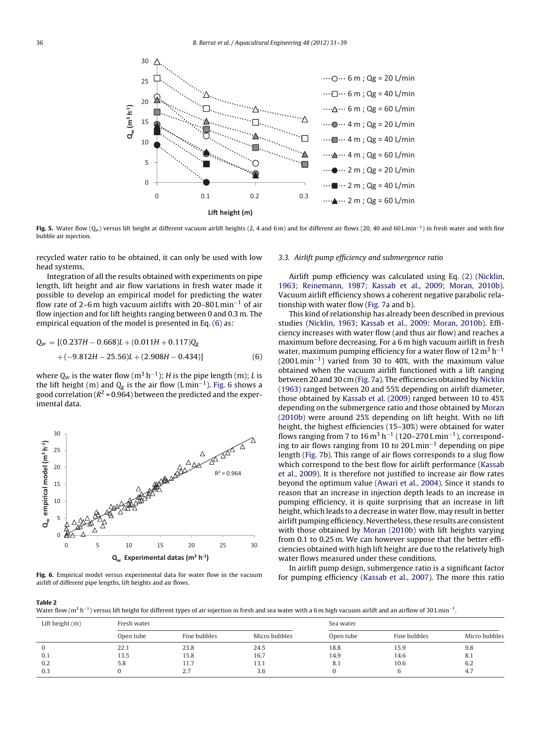<span id="page-5-0"></span>

**Fig.** 5. Water flow (Q<sub>w</sub>) versus lift height at different vacuum airlift heights (2, 4 and 6 m) and for different air flows (20, 40 and 60 Lmin<sup>-1</sup>) in fresh water and with fine bubble air injection.

recycled water ratio to be obtained, it can only be used with low head systems.

Integration of all the results obtained with experiments on pipe length, lift height and air flow variations in fresh water made it possible to develop an empirical model for predicting the water flow rate of 2–6 m high vacuum airlifts with 20–80 L min−<sup>1</sup> of air flow injection and for lift heights ranging between 0 and 0.3 m. The empirical equation of the model is presented in Eq. (6) as:

$$
Q_W = [(0.237H - 0.668)L + (0.011H + 0.117)Q_g
$$
  
 
$$
+ (-9.812H - 25.56)L + (2.908H - 0.434)]
$$
 (6)

where  $Q_w$  is the water flow (m<sup>3</sup> h<sup>-1</sup>); *H* is the pipe length (m); *L* is the lift height (m) and  $Q_g$  is the air flow (Lmin<sup>-1</sup>). Fig. 6 shows a good correlation ( $R^2$  = 0.964) between the predicted and the experimental data.



**Fig. 6.** Empirical model versus experimental data for water flow in the vacuum airlift of different pipe lengths, lift heights and air flows.

### 3.3. Airlift pump efficiency and submergence ratio

Airlift pump efficiency was calculated using Eq. [\(2\)](#page-2-0) ([Nicklin,](#page-8-0) [1963;](#page-8-0) [Reinemann,](#page-8-0) [1987;](#page-8-0) [Kassab](#page-8-0) et [al.,](#page-8-0) [2009;](#page-8-0) [Moran,](#page-8-0) [2010b\).](#page-8-0) Vacuum airlift efficiency shows a coherent negative parabolic relationship with water flow [\(Fig.](#page-6-0) 7a and b).

This kind of relationship has already been described in previous studies [\(Nicklin,](#page-8-0) [1963;](#page-8-0) [Kassab](#page-8-0) et [al.,](#page-8-0) [2009;](#page-8-0) [Moran,](#page-8-0) [2010b\).](#page-8-0) Efficiency increases with water flow (and thus air flow) and reaches a maximum before decreasing. For a 6 m high vacuum airlift in fresh water, maximum pumping efficiency for a water flow of  $12 \text{ m}^3 \text{ h}^{-1}$ (200 L min−1) varied from 30 to 40%, with the maximum value obtained when the vacuum airlift functioned with a lift ranging between 20 and 30 cm ([Fig.](#page-6-0) 7a). The efficiencies obtained by [Nicklin](#page-8-0) [\(1963\)](#page-8-0) ranged between 20 and 55% depending on airlift diameter, those obtained by [Kassab](#page-8-0) et [al.](#page-8-0) [\(2009\)](#page-8-0) ranged between 10 to 45% depending on the submergence ratio and those obtained by [Moran](#page-8-0) [\(2010b\)](#page-8-0) were around 25% depending on lift height. With no lift height, the highest efficiencies (15–30%) were obtained for water flows ranging from 7 to  $16 \text{ m}^3$  h<sup>-1</sup> (120–270 Lmin<sup>-1</sup>), corresponding to air flows ranging from 10 to 20 Lmin<sup>-1</sup> depending on pipe length [\(Fig.](#page-6-0) 7b). This range of air flows corresponds to a slug flow which correspond to the best flow for airlift performance ([Kassab](#page-8-0) et [al.,](#page-8-0) [2009\).](#page-8-0) It is therefore not justified to increase air flow rates beyond the optimum value ([Awari](#page-8-0) et [al.,](#page-8-0) [2004\).](#page-8-0) Since it stands to reason that an increase in injection depth leads to an increase in pumping efficiency, it is quite surprising that an increase in lift height, which leads to a decrease in water flow, may result in better airlift pumping efficiency. Nevertheless, these results are consistent with those obtained by [Moran](#page-8-0) [\(2010b\)](#page-8-0) with lift heights varying from 0.1 to 0.25 m. We can however suppose that the better efficiencies obtained with high lift height are due to the relatively high water flows measured under these conditions.

In airlift pump design, submergence ratio is a significant factor for pumping efficiency [\(Kassab](#page-8-0) et [al.,](#page-8-0) [2007\).](#page-8-0) The more this ratio

**Table 2**

Water flow (m<sup>3</sup> h<sup>-1</sup>) versus lift height for different types of air injection in fresh and sea water with a 6 m high vacuum airlift and an airflow of 30 L min<sup>-1</sup>.

| Lift height $(m)$ | Fresh water |              |               | Sea water |              |               |
|-------------------|-------------|--------------|---------------|-----------|--------------|---------------|
|                   | Open tube   | Fine bubbles | Micro bubbles | Open tube | Fine bubbles | Micro bubbles |
|                   | 22.1        | 23.8         | 24.5          | 18.8      | 15.9         | 9.8           |
| 0.1               | 13.5        | 15.8         | 16.7          | 14.9      | 14.6         | 8.1           |
| 0.2               | 5.8         | 11.7         | 13.1          | 8.1       | 10.6         | 6.2           |
| 0.3               |             | 2.7          | 3.6           |           |              | 4.7           |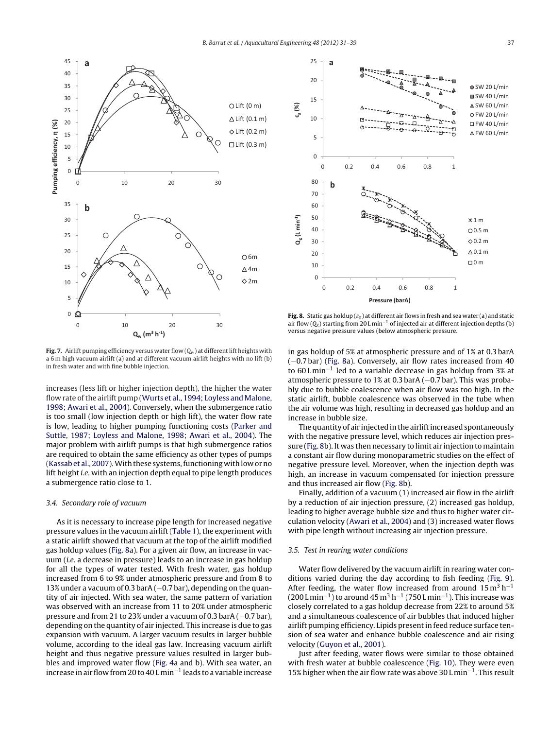<span id="page-6-0"></span>

**Fig. 7.** Airlift pumping efficiency versus water flow  $(Q_w)$  at different lift heights with a 6 m high vacuum airlift (a) and at different vacuum airlift heights with no lift (b) in fresh water and with fine bubble injection.

increases (less lift or higher injection depth), the higher the water flow rate of the airlift pump ([Wurts](#page-8-0) et [al.,](#page-8-0) [1994;](#page-8-0) [Loyless](#page-8-0) [and](#page-8-0) [Malone,](#page-8-0) [1998;](#page-8-0) [Awari](#page-8-0) et [al.,](#page-8-0) [2004\).](#page-8-0) Conversely, when the submergence ratio is too small (low injection depth or high lift), the water flow rate is low, leading to higher pumping functioning costs [\(Parker](#page-8-0) [and](#page-8-0) [Suttle,](#page-8-0) [1987;](#page-8-0) [Loyless](#page-8-0) [and](#page-8-0) [Malone,](#page-8-0) [1998;](#page-8-0) [Awari](#page-8-0) et [al.,](#page-8-0) [2004\).](#page-8-0) The major problem with airlift pumps is that high submergence ratios are required to obtain the same efficiency as other types of pumps ([Kassab](#page-8-0) et [al.,](#page-8-0) [2007\).](#page-8-0) With these systems, functioning with low or no lift height i.e. with an injection depth equal to pipe length produces a submergence ratio close to 1.

## 3.4. Secondary role of vacuum

As it is necessary to increase pipe length for increased negative pressure values in the vacuum airlift [\(Table](#page-1-0) 1), the experiment with a static airlift showed that vacuum at the top of the airlift modified gas holdup values (Fig. 8a). For a given air flow, an increase in vacuum (i.e. a decrease in pressure) leads to an increase in gas holdup for all the types of water tested. With fresh water, gas holdup increased from 6 to 9% under atmospheric pressure and from 8 to 13% under a vacuum of 0.3 barA (−0.7 bar), depending on the quantity of air injected. With sea water, the same pattern of variation was observed with an increase from 11 to 20% under atmospheric pressure and from 21 to 23% under a vacuum of 0.3 barA (−0.7 bar), depending on the quantity of air injected. This increase is due to gas expansion with vacuum. A larger vacuum results in larger bubble volume, according to the ideal gas law. Increasing vacuum airlift height and thus negative pressure values resulted in larger bubbles and improved water flow ([Fig.](#page-4-0) 4a and b). With sea water, an increase inairflow from20 to 40 L min−<sup>1</sup> leads to a variable increase



**Fig. 8.** Static gas holdup ( $\varepsilon_g$ ) at different air flows in fresh and sea water (a) and static air flow ( $Q_g$ ) starting from 20 L min<sup>-1</sup> of injected air at different injection depths (b) versus negative pressure values (below atmospheric pressure.

in gas holdup of 5% at atmospheric pressure and of 1% at 0.3 barA (−0.7 bar) (Fig. 8a). Conversely, air flow rates increased from 40 to 60 Lmin<sup>-1</sup> led to a variable decrease in gas holdup from 3% at atmospheric pressure to 1% at 0.3 barA (−0.7 bar). This was probably due to bubble coalescence when air flow was too high. In the static airlift, bubble coalescence was observed in the tube when the air volume was high, resulting in decreased gas holdup and an increase in bubble size.

The quantity of air injected in the airlift increased spontaneously with the negative pressure level, which reduces air injection pressure (Fig. 8b). It was then necessary to limit air injection to maintain a constant air flow during monoparametric studies on the effect of negative pressure level. Moreover, when the injection depth was high, an increase in vacuum compensated for injection pressure and thus increased air flow (Fig. 8b).

Finally, addition of a vacuum (1) increased air flow in the airlift by a reduction of air injection pressure, (2) increased gas holdup, leading to higher average bubble size and thus to higher water circulation velocity [\(Awari](#page-8-0) et [al.,](#page-8-0) [2004\)](#page-8-0) and (3) increased water flows with pipe length without increasing air injection pressure.

#### 3.5. Test in rearing water conditions

Water flow delivered by the vacuum airlift in rearing water conditions varied during the day according to fish feeding [\(Fig.](#page-7-0) 9). After feeding, the water flow increased from around  $15 \text{ m}^3 \text{ h}^{-1}$  $(200 \text{ L min}^{-1})$  to around 45 m<sup>3</sup> h<sup>-1</sup> (750 Lmin<sup>-1</sup>). This increase was closely correlated to a gas holdup decrease from 22% to around 5% and a simultaneous coalescence of air bubbles that induced higher airlift pumping efficiency. Lipids present in feed reduce surface tension of sea water and enhance bubble coalescence and air rising velocity [\(Guyon](#page-8-0) et [al.,](#page-8-0) [2001\).](#page-8-0)

Just after feeding, water flows were similar to those obtained with fresh water at bubble coalescence (Fig. [10\).](#page-7-0) They were even 15% higher when the air flow rate was above 30 L min−1. This result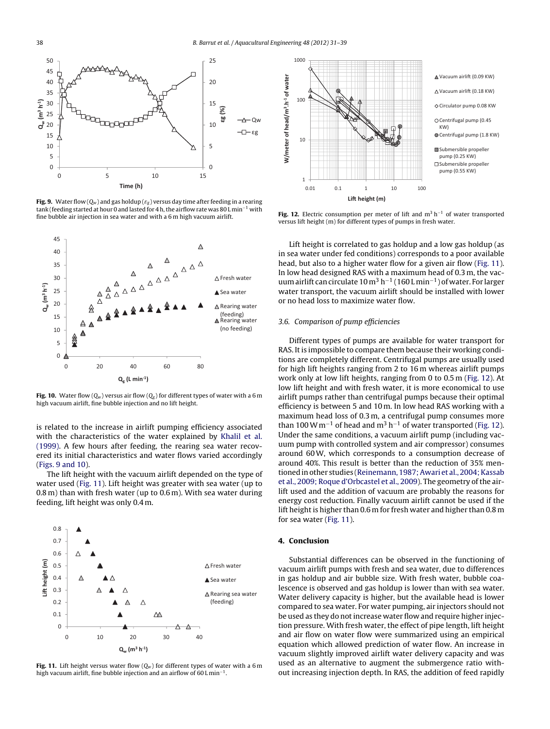<span id="page-7-0"></span>

**Fig. 9.** Water flow  $(Q_w)$  and gas holdup  $(\varepsilon_g)$  versus day time after feeding in a rearing tank (feeding started at hour 0 and lasted for 4 h, the airflow rate was 80 L min<sup>-1</sup> with fine bubble air injection in sea water and with a 6 m high vacuum airlift.



**Fig. 10.** Water flow  $(Q_w)$  versus air flow  $(Q_g)$  for different types of water with a 6 m high vacuum airlift, fine bubble injection and no lift height.

is related to the increase in airlift pumping efficiency associated with the characteristics of the water explained by [Khalil](#page-8-0) et [al.](#page-8-0) [\(1999\).](#page-8-0) A few hours after feeding, the rearing sea water recovered its initial characteristics and water flows varied accordingly (Figs. 9 and 10).

The lift height with the vacuum airlift depended on the type of water used (Fig. 11). Lift height was greater with sea water (up to 0.8 m) than with fresh water (up to 0.6 m). With sea water during feeding, lift height was only 0.4 m.



**Fig. 11.** Lift height versus water flow  $(Q_w)$  for different types of water with a 6 m high vacuum airlift, fine bubble injection and an airflow of 60 L min−1.



**Fig. 12.** Electric consumption per meter of lift and m<sup>3</sup> h<sup>-1</sup> of water transported versus lift height (m) for different types of pumps in fresh water.

Lift height is correlated to gas holdup and a low gas holdup (as in sea water under fed conditions) corresponds to a poor available head, but also to a higher water flow for a given air flow (Fig. 11). In low head designed RAS with a maximum head of 0.3 m, the vacuum airlift can circulate  $10 \text{ m}^3 \text{ h}^{-1}$  (160 L min<sup>-1</sup>) of water. For larger water transport, the vacuum airlift should be installed with lower or no head loss to maximize water flow.

# 3.6. Comparison of pump efficiencies

Different types of pumps are available for water transport for RAS. It is impossible to compare them because their working conditions are completely different. Centrifugal pumps are usually used for high lift heights ranging from 2 to 16 m whereas airlift pumps work only at low lift heights, ranging from 0 to 0.5 m (Fig. 12). At low lift height and with fresh water, it is more economical to use airlift pumps rather than centrifugal pumps because their optimal efficiency is between 5 and 10 m. In low head RAS working with a maximum head loss of 0.3 m, a centrifugal pump consumes more than 100 W m<sup>-1</sup> of head and m<sup>3</sup> h<sup>-1</sup> of water transported (Fig. 12). Under the same conditions, a vacuum airlift pump (including vacuum pump with controlled system and air compressor) consumes around 60W, which corresponds to a consumption decrease of around 40%. This result is better than the reduction of 35% men-tioned in other studies [\(Reinemann,](#page-8-0) 1987; Awari et [al.,](#page-8-0) 2004; Kassab et [al.,](#page-8-0) [2009;](#page-8-0) [Roque](#page-8-0) [d'Orbcastel](#page-8-0) et al., [2009\).](#page-8-0) The geometry of the airlift used and the addition of vacuum are probably the reasons for energy cost reduction. Finally vacuum airlift cannot be used if the lift height is higher than 0.6 m for fresh water and higher than 0.8 m for sea water (Fig. 11).

# **4. Conclusion**

Substantial differences can be observed in the functioning of vacuum airlift pumps with fresh and sea water, due to differences in gas holdup and air bubble size. With fresh water, bubble coalescence is observed and gas holdup is lower than with sea water. Water delivery capacity is higher, but the available head is lower compared to sea water. For water pumping, air injectors should not be used as they do not increase water flow and require higher injection pressure. With fresh water, the effect of pipe length, lift height and air flow on water flow were summarized using an empirical equation which allowed prediction of water flow. An increase in vacuum slightly improved airlift water delivery capacity and was used as an alternative to augment the submergence ratio without increasing injection depth. In RAS, the addition of feed rapidly